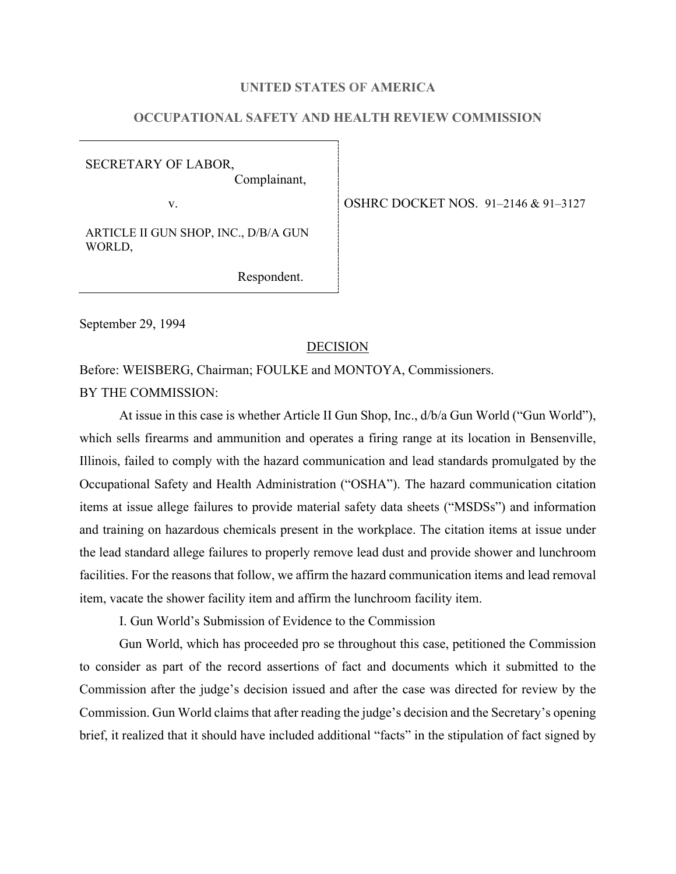#### **UNITED STATES OF AMERICA**

## **OCCUPATIONAL SAFETY AND HEALTH REVIEW COMMISSION**

SECRETARY OF LABOR, Complainant,

ARTICLE II GUN SHOP, INC., D/B/A GUN WORLD,

v. 0SHRC DOCKET NOS. 91–2146 & 91–3127

Respondent.

September 29, 1994

### DECISION

Before: WEISBERG, Chairman; FOULKE and MONTOYA, Commissioners.

BY THE COMMISSION:

At issue in this case is whether Article II Gun Shop, Inc., d/b/a Gun World ("Gun World"), which sells firearms and ammunition and operates a firing range at its location in Bensenville, Illinois, failed to comply with the hazard communication and lead standards promulgated by the Occupational Safety and Health Administration ("OSHA"). The hazard communication citation items at issue allege failures to provide material safety data sheets ("MSDSs") and information and training on hazardous chemicals present in the workplace. The citation items at issue under the lead standard allege failures to properly remove lead dust and provide shower and lunchroom facilities. For the reasons that follow, we affirm the hazard communication items and lead removal item, vacate the shower facility item and affirm the lunchroom facility item.

I. Gun World's Submission of Evidence to the Commission

Gun World, which has proceeded pro se throughout this case, petitioned the Commission to consider as part of the record assertions of fact and documents which it submitted to the Commission after the judge's decision issued and after the case was directed for review by the Commission. Gun World claims that after reading the judge's decision and the Secretary's opening brief, it realized that it should have included additional "facts" in the stipulation of fact signed by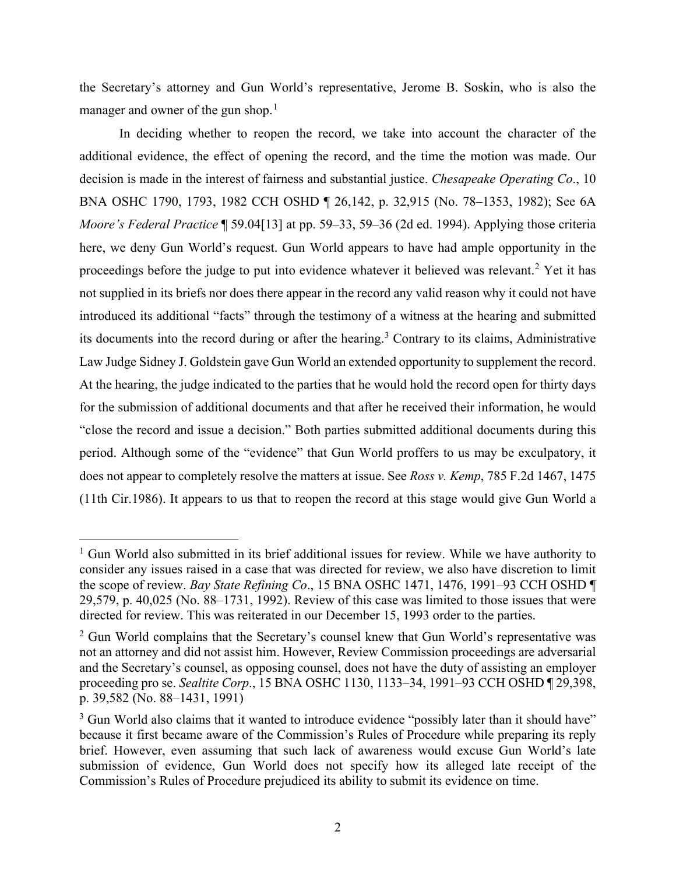the Secretary's attorney and Gun World's representative, Jerome B. Soskin, who is also the manager and owner of the gun shop.<sup>[1](#page-1-0)</sup>

In deciding whether to reopen the record, we take into account the character of the additional evidence, the effect of opening the record, and the time the motion was made. Our decision is made in the interest of fairness and substantial justice. *Chesapeake Operating Co*., 10 BNA OSHC 1790, 1793, 1982 CCH OSHD ¶ 26,142, p. 32,915 (No. 78–1353, 1982); See 6A *Moore's Federal Practice* ¶ 59.04[13] at pp. 59–33, 59–36 (2d ed. 1994). Applying those criteria here, we deny Gun World's request. Gun World appears to have had ample opportunity in the proceedings before the judge to put into evidence whatever it believed was relevant.<sup>[2](#page-1-1)</sup> Yet it has not supplied in its briefs nor does there appear in the record any valid reason why it could not have introduced its additional "facts" through the testimony of a witness at the hearing and submitted its documents into the record during or after the hearing.<sup>[3](#page-1-2)</sup> Contrary to its claims, Administrative Law Judge Sidney J. Goldstein gave Gun World an extended opportunity to supplement the record. At the hearing, the judge indicated to the parties that he would hold the record open for thirty days for the submission of additional documents and that after he received their information, he would "close the record and issue a decision." Both parties submitted additional documents during this period. Although some of the "evidence" that Gun World proffers to us may be exculpatory, it does not appear to completely resolve the matters at issue. See *Ross v. Kemp*, 785 F.2d 1467, 1475 (11th Cir.1986). It appears to us that to reopen the record at this stage would give Gun World a

<span id="page-1-0"></span> $<sup>1</sup>$  Gun World also submitted in its brief additional issues for review. While we have authority to</sup> consider any issues raised in a case that was directed for review, we also have discretion to limit the scope of review. *Bay State Refining Co*., 15 BNA OSHC 1471, 1476, 1991–93 CCH OSHD ¶ 29,579, p. 40,025 (No. 88–1731, 1992). Review of this case was limited to those issues that were directed for review. This was reiterated in our December 15, 1993 order to the parties.

<span id="page-1-1"></span> $2$  Gun World complains that the Secretary's counsel knew that Gun World's representative was not an attorney and did not assist him. However, Review Commission proceedings are adversarial and the Secretary's counsel, as opposing counsel, does not have the duty of assisting an employer proceeding pro se. *Sealtite Corp*., 15 BNA OSHC 1130, 1133–34, 1991–93 CCH OSHD ¶ 29,398, p. 39,582 (No. 88–1431, 1991)

<span id="page-1-2"></span><sup>&</sup>lt;sup>3</sup> Gun World also claims that it wanted to introduce evidence "possibly later than it should have" because it first became aware of the Commission's Rules of Procedure while preparing its reply brief. However, even assuming that such lack of awareness would excuse Gun World's late submission of evidence, Gun World does not specify how its alleged late receipt of the Commission's Rules of Procedure prejudiced its ability to submit its evidence on time.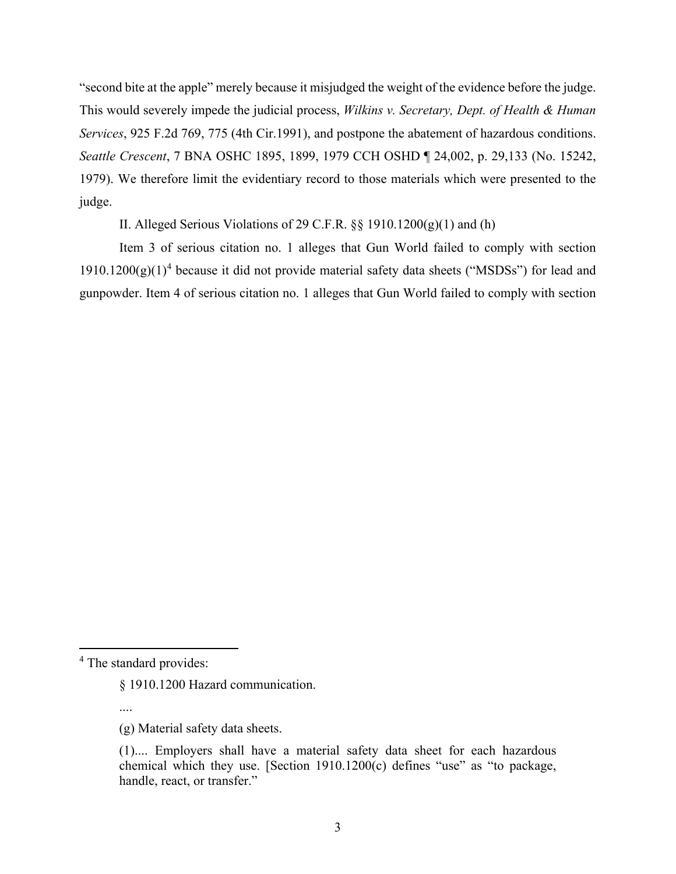"second bite at the apple" merely because it misjudged the weight of the evidence before the judge. This would severely impede the judicial process, *Wilkins v. Secretary, Dept. of Health & Human Services*, 925 F.2d 769, 775 (4th Cir.1991), and postpone the abatement of hazardous conditions. *Seattle Crescent*, 7 BNA OSHC 1895, 1899, 1979 CCH OSHD ¶ 24,002, p. 29,133 (No. 15242, 1979). We therefore limit the evidentiary record to those materials which were presented to the judge.

II. Alleged Serious Violations of 29 C.F.R.  $\S$ § 1910.1200(g)(1) and (h)

Item 3 of serious citation no. 1 alleges that Gun World failed to comply with section  $1910.1200(g)(1)^4$  $1910.1200(g)(1)^4$  because it did not provide material safety data sheets ("MSDSs") for lead and gunpowder. Item 4 of serious citation no. 1 alleges that Gun World failed to comply with section

....

<span id="page-2-0"></span><sup>&</sup>lt;sup>4</sup> The standard provides:

<sup>§ 1910.1200</sup> Hazard communication.

<sup>(</sup>g) Material safety data sheets.

<sup>(1)....</sup> Employers shall have a material safety data sheet for each hazardous chemical which they use. [Section 1910.1200(c) defines "use" as "to package, handle, react, or transfer."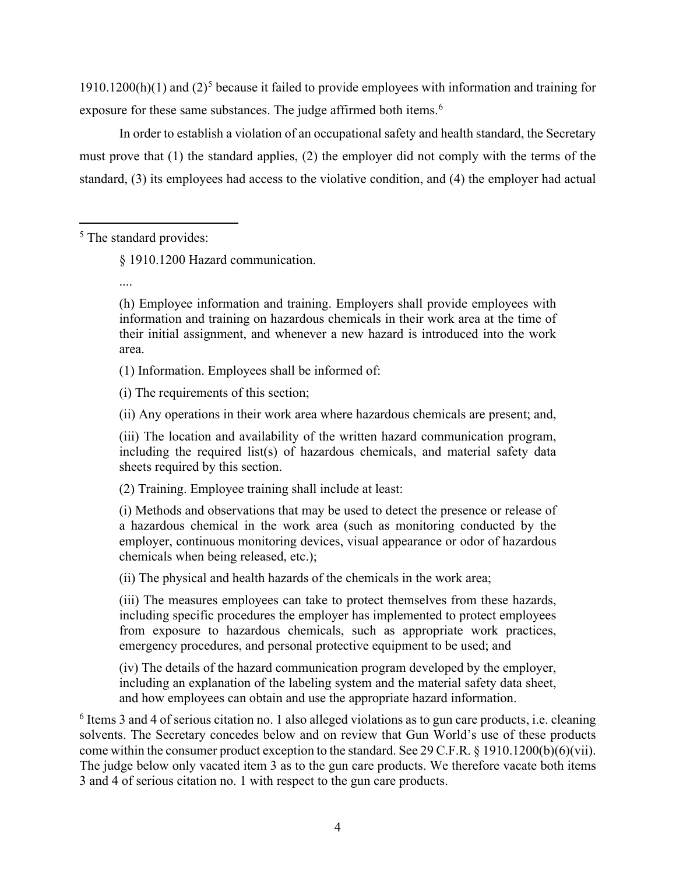$1910.1200(h)(1)$  and  $(2)^5$  $(2)^5$  because it failed to provide employees with information and training for exposure for these same substances. The judge affirmed both items.<sup>[6](#page-3-1)</sup>

In order to establish a violation of an occupational safety and health standard, the Secretary must prove that (1) the standard applies, (2) the employer did not comply with the terms of the standard, (3) its employees had access to the violative condition, and (4) the employer had actual

<span id="page-3-0"></span><sup>5</sup> The standard provides:

§ 1910.1200 Hazard communication.

....

(h) Employee information and training. Employers shall provide employees with information and training on hazardous chemicals in their work area at the time of their initial assignment, and whenever a new hazard is introduced into the work area.

(1) Information. Employees shall be informed of:

(i) The requirements of this section;

(ii) Any operations in their work area where hazardous chemicals are present; and,

(iii) The location and availability of the written hazard communication program, including the required list(s) of hazardous chemicals, and material safety data sheets required by this section.

(2) Training. Employee training shall include at least:

(i) Methods and observations that may be used to detect the presence or release of a hazardous chemical in the work area (such as monitoring conducted by the employer, continuous monitoring devices, visual appearance or odor of hazardous chemicals when being released, etc.);

(ii) The physical and health hazards of the chemicals in the work area;

(iii) The measures employees can take to protect themselves from these hazards, including specific procedures the employer has implemented to protect employees from exposure to hazardous chemicals, such as appropriate work practices, emergency procedures, and personal protective equipment to be used; and

(iv) The details of the hazard communication program developed by the employer, including an explanation of the labeling system and the material safety data sheet, and how employees can obtain and use the appropriate hazard information.

<span id="page-3-1"></span><sup>6</sup> Items 3 and 4 of serious citation no. 1 also alleged violations as to gun care products, i.e. cleaning solvents. The Secretary concedes below and on review that Gun World's use of these products come within the consumer product exception to the standard. See 29 C.F.R. § 1910.1200(b)(6)(vii). The judge below only vacated item 3 as to the gun care products. We therefore vacate both items 3 and 4 of serious citation no. 1 with respect to the gun care products.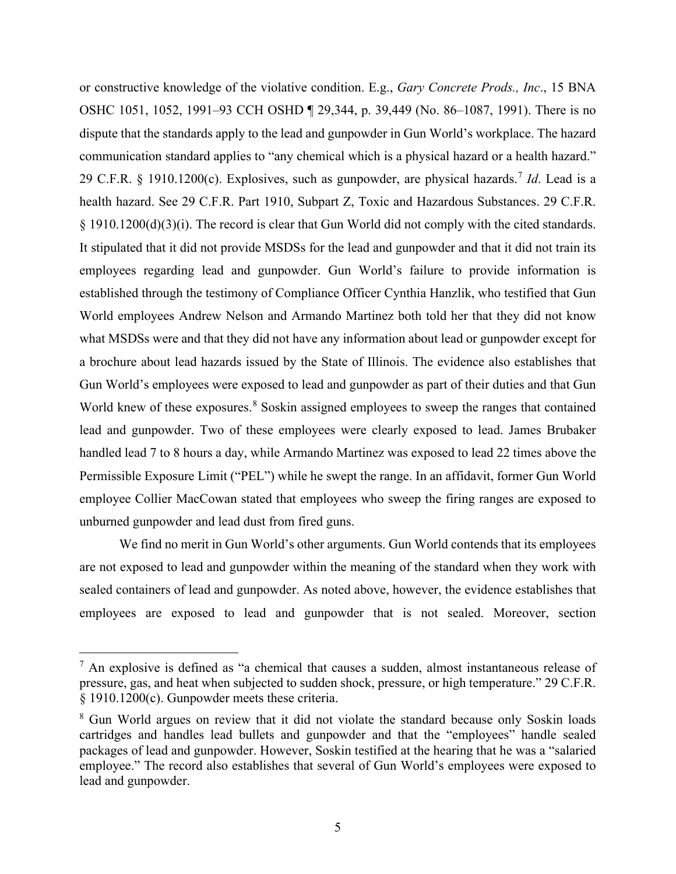or constructive knowledge of the violative condition. E.g., *Gary Concrete Prods., Inc*., 15 BNA OSHC 1051, 1052, 1991–93 CCH OSHD ¶ 29,344, p. 39,449 (No. 86–1087, 1991). There is no dispute that the standards apply to the lead and gunpowder in Gun World's workplace. The hazard communication standard applies to "any chemical which is a physical hazard or a health hazard." 29 C.F.R. § 1910.1200(c). Explosives, such as gunpowder, are physical hazards.[7](#page-4-0) *Id*. Lead is a health hazard. See 29 C.F.R. Part 1910, Subpart Z, Toxic and Hazardous Substances. 29 C.F.R. § 1910.1200(d)(3)(i). The record is clear that Gun World did not comply with the cited standards. It stipulated that it did not provide MSDSs for the lead and gunpowder and that it did not train its employees regarding lead and gunpowder. Gun World's failure to provide information is established through the testimony of Compliance Officer Cynthia Hanzlik, who testified that Gun World employees Andrew Nelson and Armando Martinez both told her that they did not know what MSDSs were and that they did not have any information about lead or gunpowder except for a brochure about lead hazards issued by the State of Illinois. The evidence also establishes that Gun World's employees were exposed to lead and gunpowder as part of their duties and that Gun World knew of these exposures.<sup>[8](#page-4-1)</sup> Soskin assigned employees to sweep the ranges that contained lead and gunpowder. Two of these employees were clearly exposed to lead. James Brubaker handled lead 7 to 8 hours a day, while Armando Martinez was exposed to lead 22 times above the Permissible Exposure Limit ("PEL") while he swept the range. In an affidavit, former Gun World employee Collier MacCowan stated that employees who sweep the firing ranges are exposed to unburned gunpowder and lead dust from fired guns.

We find no merit in Gun World's other arguments. Gun World contends that its employees are not exposed to lead and gunpowder within the meaning of the standard when they work with sealed containers of lead and gunpowder. As noted above, however, the evidence establishes that employees are exposed to lead and gunpowder that is not sealed. Moreover, section

<span id="page-4-0"></span> $<sup>7</sup>$  An explosive is defined as "a chemical that causes a sudden, almost instantaneous release of</sup> pressure, gas, and heat when subjected to sudden shock, pressure, or high temperature." 29 C.F.R. § 1910.1200(c). Gunpowder meets these criteria.

<span id="page-4-1"></span><sup>&</sup>lt;sup>8</sup> Gun World argues on review that it did not violate the standard because only Soskin loads cartridges and handles lead bullets and gunpowder and that the "employees" handle sealed packages of lead and gunpowder. However, Soskin testified at the hearing that he was a "salaried employee." The record also establishes that several of Gun World's employees were exposed to lead and gunpowder.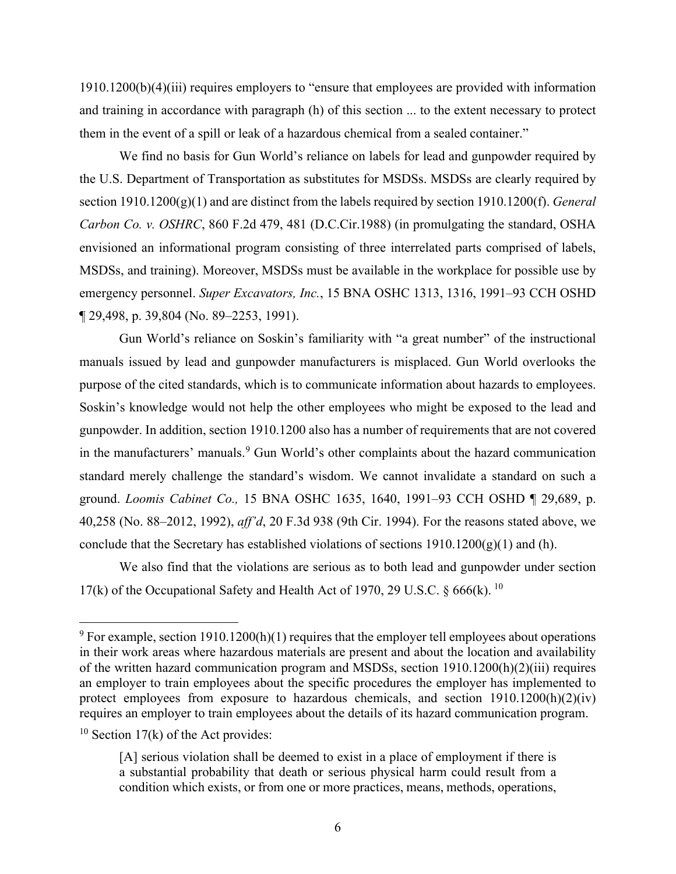1910.1200(b)(4)(iii) requires employers to "ensure that employees are provided with information and training in accordance with paragraph (h) of this section ... to the extent necessary to protect them in the event of a spill or leak of a hazardous chemical from a sealed container."

We find no basis for Gun World's reliance on labels for lead and gunpowder required by the U.S. Department of Transportation as substitutes for MSDSs. MSDSs are clearly required by section 1910.1200(g)(1) and are distinct from the labels required by section 1910.1200(f). *General Carbon Co. v. OSHRC*, 860 F.2d 479, 481 (D.C.Cir.1988) (in promulgating the standard, OSHA envisioned an informational program consisting of three interrelated parts comprised of labels, MSDSs, and training). Moreover, MSDSs must be available in the workplace for possible use by emergency personnel. *Super Excavators, Inc.*, 15 BNA OSHC 1313, 1316, 1991–93 CCH OSHD ¶ 29,498, p. 39,804 (No. 89–2253, 1991).

Gun World's reliance on Soskin's familiarity with "a great number" of the instructional manuals issued by lead and gunpowder manufacturers is misplaced. Gun World overlooks the purpose of the cited standards, which is to communicate information about hazards to employees. Soskin's knowledge would not help the other employees who might be exposed to the lead and gunpowder. In addition, section 1910.1200 also has a number of requirements that are not covered in the manufacturers' manuals.<sup>[9](#page-5-0)</sup> Gun World's other complaints about the hazard communication standard merely challenge the standard's wisdom. We cannot invalidate a standard on such a ground. *Loomis Cabinet Co.,* 15 BNA OSHC 1635, 1640, 1991–93 CCH OSHD ¶ 29,689, p. 40,258 (No. 88–2012, 1992), *aff'd*, 20 F.3d 938 (9th Cir. 1994). For the reasons stated above, we conclude that the Secretary has established violations of sections  $1910.1200(g)(1)$  and (h).

We also find that the violations are serious as to both lead and gunpowder under section 17(k) of the Occupational Safety and Health Act of 1970, 29 U.S.C.  $\S 666(k)$ . <sup>[10](#page-5-1)</sup>

<span id="page-5-0"></span> $9$  For example, section 1910.1200(h)(1) requires that the employer tell employees about operations in their work areas where hazardous materials are present and about the location and availability of the written hazard communication program and MSDSs, section 1910.1200(h)(2)(iii) requires an employer to train employees about the specific procedures the employer has implemented to protect employees from exposure to hazardous chemicals, and section 1910.1200(h)(2)(iv) requires an employer to train employees about the details of its hazard communication program.

<span id="page-5-1"></span><sup>&</sup>lt;sup>10</sup> Section 17(k) of the Act provides:

<sup>[</sup>A] serious violation shall be deemed to exist in a place of employment if there is a substantial probability that death or serious physical harm could result from a condition which exists, or from one or more practices, means, methods, operations,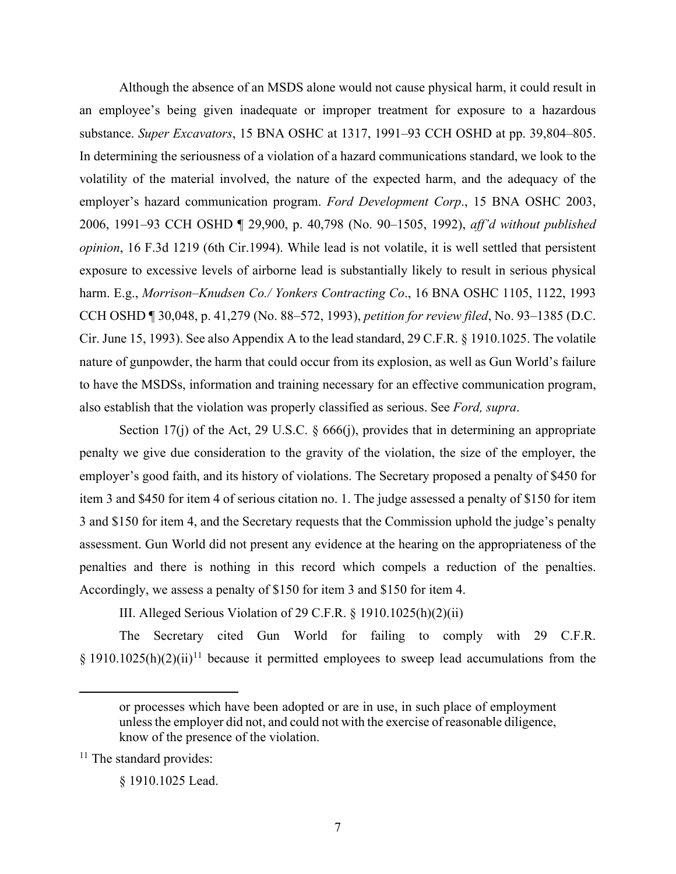Although the absence of an MSDS alone would not cause physical harm, it could result in an employee's being given inadequate or improper treatment for exposure to a hazardous substance. *Super Excavators*, 15 BNA OSHC at 1317, 1991–93 CCH OSHD at pp. 39,804–805. In determining the seriousness of a violation of a hazard communications standard, we look to the volatility of the material involved, the nature of the expected harm, and the adequacy of the employer's hazard communication program. *Ford Development Corp*., 15 BNA OSHC 2003, 2006, 1991–93 CCH OSHD ¶ 29,900, p. 40,798 (No. 90–1505, 1992), *aff'd without published opinion*, 16 F.3d 1219 (6th Cir.1994). While lead is not volatile, it is well settled that persistent exposure to excessive levels of airborne lead is substantially likely to result in serious physical harm. E.g., *Morrison–Knudsen Co./ Yonkers Contracting Co*., 16 BNA OSHC 1105, 1122, 1993 CCH OSHD ¶ 30,048, p. 41,279 (No. 88–572, 1993), *petition for review filed*, No. 93–1385 (D.C. Cir. June 15, 1993). See also Appendix A to the lead standard, 29 C.F.R. § 1910.1025. The volatile nature of gunpowder, the harm that could occur from its explosion, as well as Gun World's failure to have the MSDSs, information and training necessary for an effective communication program, also establish that the violation was properly classified as serious. See *Ford, supra*.

Section 17(j) of the Act, 29 U.S.C.  $\S$  666(j), provides that in determining an appropriate penalty we give due consideration to the gravity of the violation, the size of the employer, the employer's good faith, and its history of violations. The Secretary proposed a penalty of \$450 for item 3 and \$450 for item 4 of serious citation no. 1. The judge assessed a penalty of \$150 for item 3 and \$150 for item 4, and the Secretary requests that the Commission uphold the judge's penalty assessment. Gun World did not present any evidence at the hearing on the appropriateness of the penalties and there is nothing in this record which compels a reduction of the penalties. Accordingly, we assess a penalty of \$150 for item 3 and \$150 for item 4.

III. Alleged Serious Violation of 29 C.F.R. § 1910.1025(h)(2)(ii)

The Secretary cited Gun World for failing to comply with 29 C.F.R. § 1910.1025(h)(2)(ii)<sup>[11](#page-6-0)</sup> because it permitted employees to sweep lead accumulations from the

<span id="page-6-0"></span> $11$  The standard provides:

or processes which have been adopted or are in use, in such place of employment unless the employer did not, and could not with the exercise of reasonable diligence, know of the presence of the violation.

<sup>§ 1910.1025</sup> Lead.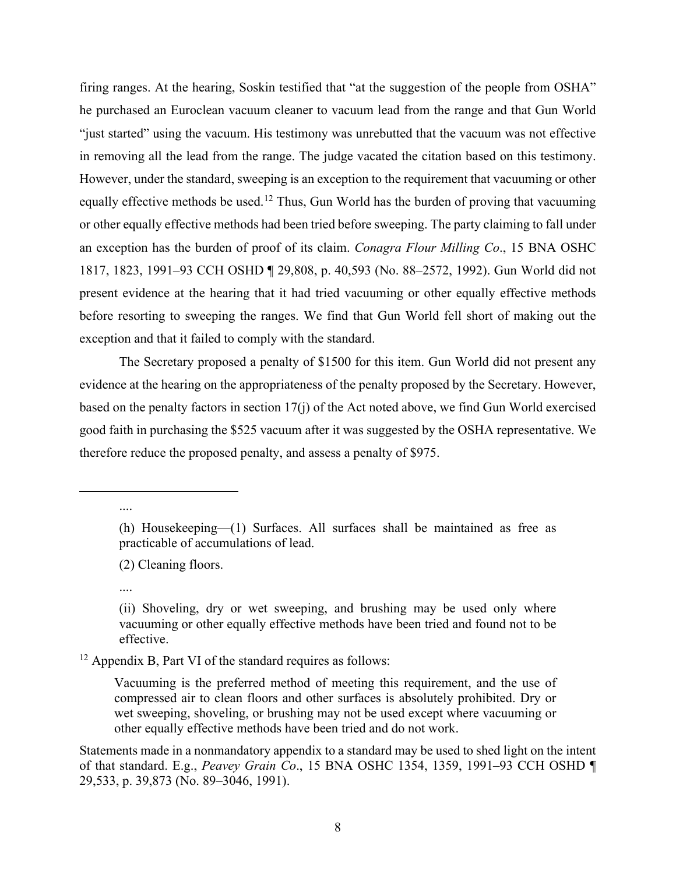firing ranges. At the hearing, Soskin testified that "at the suggestion of the people from OSHA" he purchased an Euroclean vacuum cleaner to vacuum lead from the range and that Gun World "just started" using the vacuum. His testimony was unrebutted that the vacuum was not effective in removing all the lead from the range. The judge vacated the citation based on this testimony. However, under the standard, sweeping is an exception to the requirement that vacuuming or other equally effective methods be used.<sup>[12](#page-7-0)</sup> Thus, Gun World has the burden of proving that vacuuming or other equally effective methods had been tried before sweeping. The party claiming to fall under an exception has the burden of proof of its claim. *Conagra Flour Milling Co*., 15 BNA OSHC 1817, 1823, 1991–93 CCH OSHD ¶ 29,808, p. 40,593 (No. 88–2572, 1992). Gun World did not present evidence at the hearing that it had tried vacuuming or other equally effective methods before resorting to sweeping the ranges. We find that Gun World fell short of making out the exception and that it failed to comply with the standard.

The Secretary proposed a penalty of \$1500 for this item. Gun World did not present any evidence at the hearing on the appropriateness of the penalty proposed by the Secretary. However, based on the penalty factors in section 17(j) of the Act noted above, we find Gun World exercised good faith in purchasing the \$525 vacuum after it was suggested by the OSHA representative. We therefore reduce the proposed penalty, and assess a penalty of \$975.

....

(2) Cleaning floors.

....

<span id="page-7-0"></span><sup>12</sup> Appendix B, Part VI of the standard requires as follows:

<sup>(</sup>h) Housekeeping—(1) Surfaces. All surfaces shall be maintained as free as practicable of accumulations of lead.

<sup>(</sup>ii) Shoveling, dry or wet sweeping, and brushing may be used only where vacuuming or other equally effective methods have been tried and found not to be effective.

Vacuuming is the preferred method of meeting this requirement, and the use of compressed air to clean floors and other surfaces is absolutely prohibited. Dry or wet sweeping, shoveling, or brushing may not be used except where vacuuming or other equally effective methods have been tried and do not work.

Statements made in a nonmandatory appendix to a standard may be used to shed light on the intent of that standard. E.g., *Peavey Grain Co*., 15 BNA OSHC 1354, 1359, 1991–93 CCH OSHD ¶ 29,533, p. 39,873 (No. 89–3046, 1991).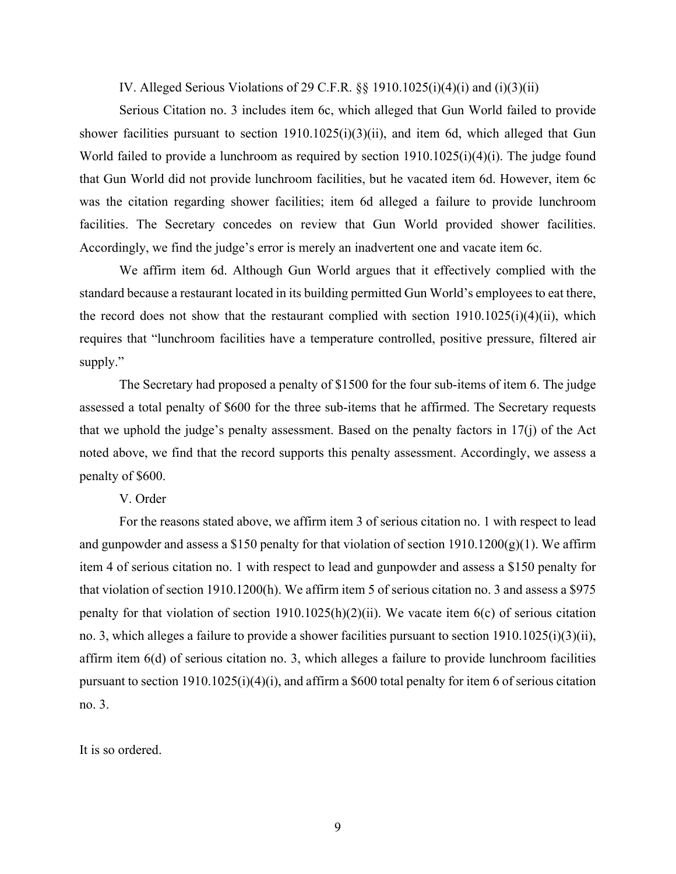IV. Alleged Serious Violations of 29 C.F.R.  $\S$ § 1910.1025(i)(4)(i) and (i)(3)(ii)

Serious Citation no. 3 includes item 6c, which alleged that Gun World failed to provide shower facilities pursuant to section 1910.1025(i)(3)(ii), and item 6d, which alleged that Gun World failed to provide a lunchroom as required by section 1910.1025(i)(4)(i). The judge found that Gun World did not provide lunchroom facilities, but he vacated item 6d. However, item 6c was the citation regarding shower facilities; item 6d alleged a failure to provide lunchroom facilities. The Secretary concedes on review that Gun World provided shower facilities. Accordingly, we find the judge's error is merely an inadvertent one and vacate item 6c.

We affirm item 6d. Although Gun World argues that it effectively complied with the standard because a restaurant located in its building permitted Gun World's employees to eat there, the record does not show that the restaurant complied with section  $1910.1025(i)(4)(ii)$ , which requires that "lunchroom facilities have a temperature controlled, positive pressure, filtered air supply."

The Secretary had proposed a penalty of \$1500 for the four sub-items of item 6. The judge assessed a total penalty of \$600 for the three sub-items that he affirmed. The Secretary requests that we uphold the judge's penalty assessment. Based on the penalty factors in 17(j) of the Act noted above, we find that the record supports this penalty assessment. Accordingly, we assess a penalty of \$600.

V. Order

For the reasons stated above, we affirm item 3 of serious citation no. 1 with respect to lead and gunpowder and assess a \$150 penalty for that violation of section  $1910.1200(g)(1)$ . We affirm item 4 of serious citation no. 1 with respect to lead and gunpowder and assess a \$150 penalty for that violation of section 1910.1200(h). We affirm item 5 of serious citation no. 3 and assess a \$975 penalty for that violation of section 1910.1025(h)(2)(ii). We vacate item 6(c) of serious citation no. 3, which alleges a failure to provide a shower facilities pursuant to section 1910.1025(i)(3)(ii), affirm item 6(d) of serious citation no. 3, which alleges a failure to provide lunchroom facilities pursuant to section 1910.1025(i)(4)(i), and affirm a \$600 total penalty for item 6 of serious citation no. 3.

It is so ordered.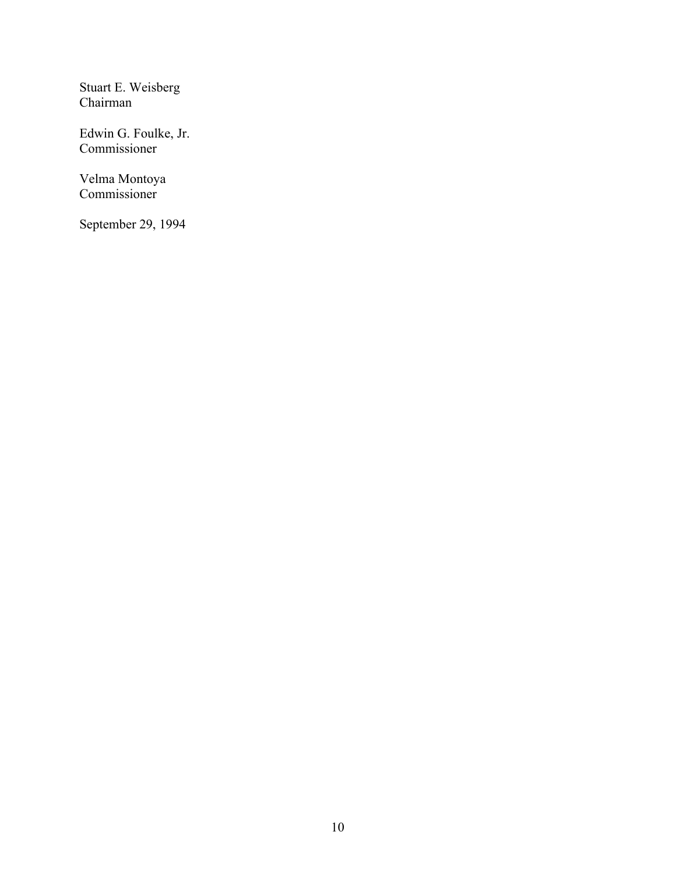Stuart E. Weisberg Chairman

Edwin G. Foulke, Jr. Commissioner

Velma Montoya Commissioner

September 29, 1994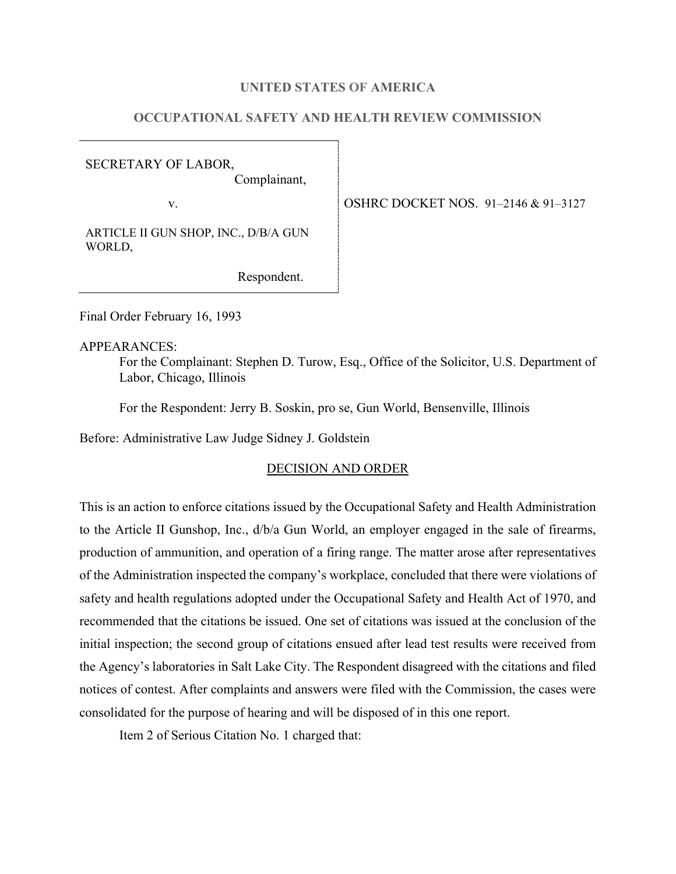### **UNITED STATES OF AMERICA**

# **OCCUPATIONAL SAFETY AND HEALTH REVIEW COMMISSION**

SECRETARY OF LABOR, Complainant,

ARTICLE II GUN SHOP, INC., D/B/A GUN WORLD,

v. 0SHRC DOCKET NOS. 91–2146 & 91–3127

Respondent.

Final Order February 16, 1993

APPEARANCES:

For the Complainant: Stephen D. Turow, Esq., Office of the Solicitor, U.S. Department of Labor, Chicago, Illinois

For the Respondent: Jerry B. Soskin, pro se, Gun World, Bensenville, Illinois

Before: Administrative Law Judge Sidney J. Goldstein

## DECISION AND ORDER

This is an action to enforce citations issued by the Occupational Safety and Health Administration to the Article II Gunshop, Inc., d/b/a Gun World, an employer engaged in the sale of firearms, production of ammunition, and operation of a firing range. The matter arose after representatives of the Administration inspected the company's workplace, concluded that there were violations of safety and health regulations adopted under the Occupational Safety and Health Act of 1970, and recommended that the citations be issued. One set of citations was issued at the conclusion of the initial inspection; the second group of citations ensued after lead test results were received from the Agency's laboratories in Salt Lake City. The Respondent disagreed with the citations and filed notices of contest. After complaints and answers were filed with the Commission, the cases were consolidated for the purpose of hearing and will be disposed of in this one report.

Item 2 of Serious Citation No. 1 charged that: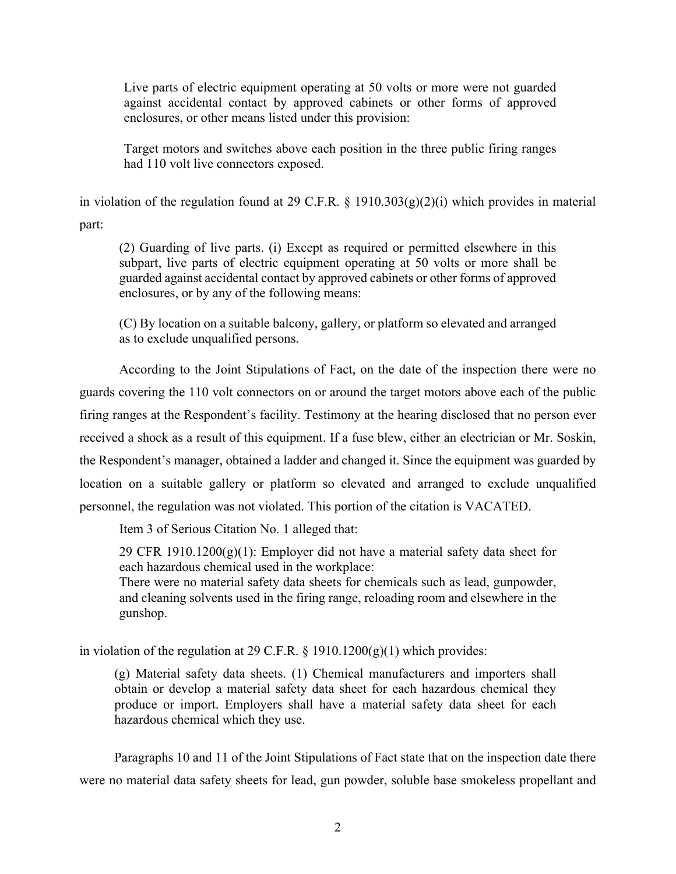Live parts of electric equipment operating at 50 volts or more were not guarded against accidental contact by approved cabinets or other forms of approved enclosures, or other means listed under this provision:

Target motors and switches above each position in the three public firing ranges had 110 volt live connectors exposed.

in violation of the regulation found at 29 C.F.R. § 1910.303(g)(2)(i) which provides in material part:

(2) Guarding of live parts. (i) Except as required or permitted elsewhere in this subpart, live parts of electric equipment operating at 50 volts or more shall be guarded against accidental contact by approved cabinets or other forms of approved enclosures, or by any of the following means:

(C) By location on a suitable balcony, gallery, or platform so elevated and arranged as to exclude unqualified persons.

According to the Joint Stipulations of Fact, on the date of the inspection there were no guards covering the 110 volt connectors on or around the target motors above each of the public firing ranges at the Respondent's facility. Testimony at the hearing disclosed that no person ever received a shock as a result of this equipment. If a fuse blew, either an electrician or Mr. Soskin, the Respondent's manager, obtained a ladder and changed it. Since the equipment was guarded by location on a suitable gallery or platform so elevated and arranged to exclude unqualified personnel, the regulation was not violated. This portion of the citation is VACATED.

Item 3 of Serious Citation No. 1 alleged that:

29 CFR 1910.1200 $(g)(1)$ : Employer did not have a material safety data sheet for each hazardous chemical used in the workplace:

There were no material safety data sheets for chemicals such as lead, gunpowder, and cleaning solvents used in the firing range, reloading room and elsewhere in the gunshop.

in violation of the regulation at 29 C.F.R.  $\S$  1910.1200(g)(1) which provides:

(g) Material safety data sheets. (1) Chemical manufacturers and importers shall obtain or develop a material safety data sheet for each hazardous chemical they produce or import. Employers shall have a material safety data sheet for each hazardous chemical which they use.

Paragraphs 10 and 11 of the Joint Stipulations of Fact state that on the inspection date there were no material data safety sheets for lead, gun powder, soluble base smokeless propellant and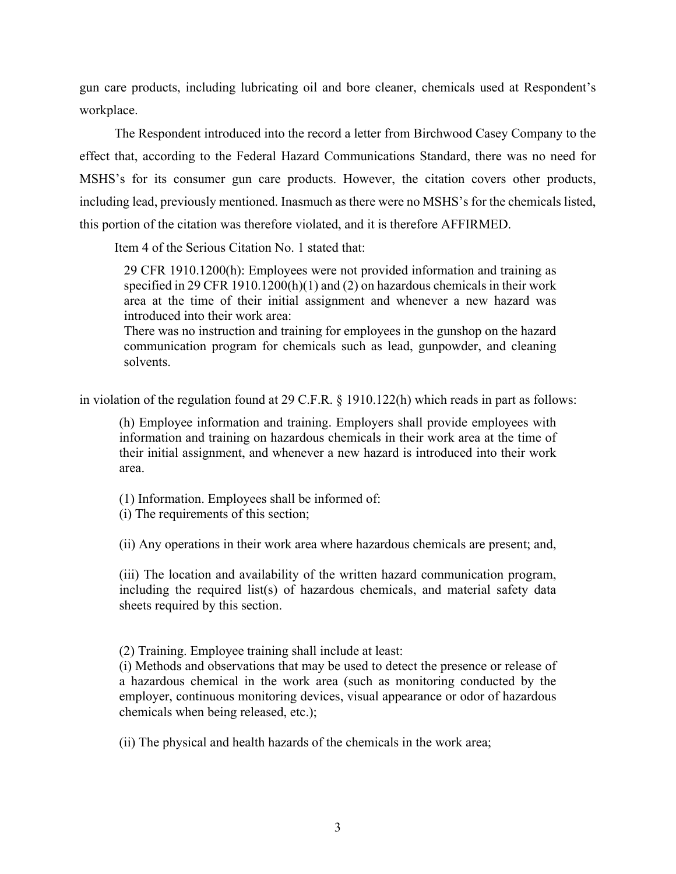gun care products, including lubricating oil and bore cleaner, chemicals used at Respondent's workplace.

The Respondent introduced into the record a letter from Birchwood Casey Company to the effect that, according to the Federal Hazard Communications Standard, there was no need for MSHS's for its consumer gun care products. However, the citation covers other products, including lead, previously mentioned. Inasmuch as there were no MSHS's for the chemicals listed, this portion of the citation was therefore violated, and it is therefore AFFIRMED.

Item 4 of the Serious Citation No. 1 stated that:

29 CFR 1910.1200(h): Employees were not provided information and training as specified in 29 CFR 1910.1200(h)(1) and (2) on hazardous chemicals in their work area at the time of their initial assignment and whenever a new hazard was introduced into their work area:

There was no instruction and training for employees in the gunshop on the hazard communication program for chemicals such as lead, gunpowder, and cleaning solvents.

in violation of the regulation found at 29 C.F.R. § 1910.122(h) which reads in part as follows:

(h) Employee information and training. Employers shall provide employees with information and training on hazardous chemicals in their work area at the time of their initial assignment, and whenever a new hazard is introduced into their work area.

(1) Information. Employees shall be informed of:

(i) The requirements of this section;

(ii) Any operations in their work area where hazardous chemicals are present; and,

(iii) The location and availability of the written hazard communication program, including the required list(s) of hazardous chemicals, and material safety data sheets required by this section.

(2) Training. Employee training shall include at least:

(i) Methods and observations that may be used to detect the presence or release of a hazardous chemical in the work area (such as monitoring conducted by the employer, continuous monitoring devices, visual appearance or odor of hazardous chemicals when being released, etc.);

(ii) The physical and health hazards of the chemicals in the work area;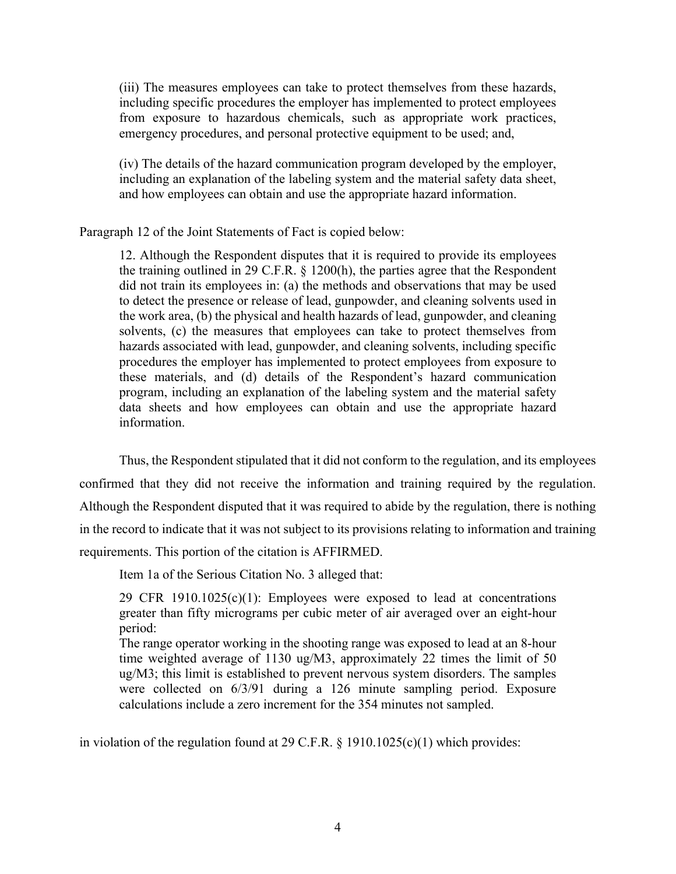(iii) The measures employees can take to protect themselves from these hazards, including specific procedures the employer has implemented to protect employees from exposure to hazardous chemicals, such as appropriate work practices, emergency procedures, and personal protective equipment to be used; and,

(iv) The details of the hazard communication program developed by the employer, including an explanation of the labeling system and the material safety data sheet, and how employees can obtain and use the appropriate hazard information.

Paragraph 12 of the Joint Statements of Fact is copied below:

12. Although the Respondent disputes that it is required to provide its employees the training outlined in 29 C.F.R. § 1200(h), the parties agree that the Respondent did not train its employees in: (a) the methods and observations that may be used to detect the presence or release of lead, gunpowder, and cleaning solvents used in the work area, (b) the physical and health hazards of lead, gunpowder, and cleaning solvents, (c) the measures that employees can take to protect themselves from hazards associated with lead, gunpowder, and cleaning solvents, including specific procedures the employer has implemented to protect employees from exposure to these materials, and (d) details of the Respondent's hazard communication program, including an explanation of the labeling system and the material safety data sheets and how employees can obtain and use the appropriate hazard information.

Thus, the Respondent stipulated that it did not conform to the regulation, and its employees confirmed that they did not receive the information and training required by the regulation. Although the Respondent disputed that it was required to abide by the regulation, there is nothing in the record to indicate that it was not subject to its provisions relating to information and training requirements. This portion of the citation is AFFIRMED.

Item 1a of the Serious Citation No. 3 alleged that:

29 CFR 1910.1025(c)(1): Employees were exposed to lead at concentrations greater than fifty micrograms per cubic meter of air averaged over an eight-hour period:

The range operator working in the shooting range was exposed to lead at an 8-hour time weighted average of 1130 ug/M3, approximately 22 times the limit of 50 ug/M3; this limit is established to prevent nervous system disorders. The samples were collected on 6/3/91 during a 126 minute sampling period. Exposure calculations include a zero increment for the 354 minutes not sampled.

in violation of the regulation found at 29 C.F.R. § 1910.1025(c)(1) which provides: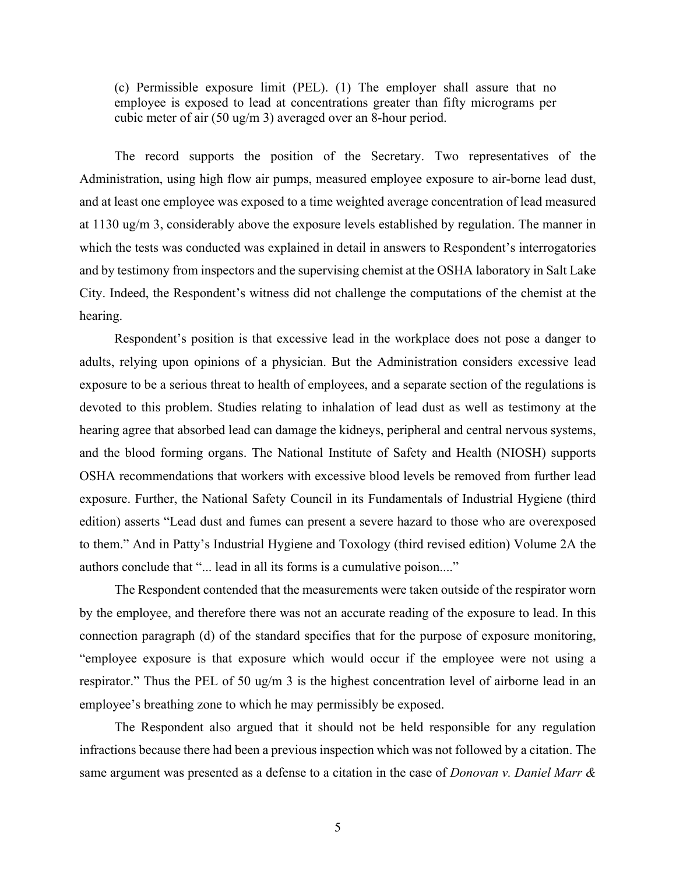(c) Permissible exposure limit (PEL). (1) The employer shall assure that no employee is exposed to lead at concentrations greater than fifty micrograms per cubic meter of air (50 ug/m 3) averaged over an 8-hour period.

The record supports the position of the Secretary. Two representatives of the Administration, using high flow air pumps, measured employee exposure to air-borne lead dust, and at least one employee was exposed to a time weighted average concentration of lead measured at 1130 ug/m 3, considerably above the exposure levels established by regulation. The manner in which the tests was conducted was explained in detail in answers to Respondent's interrogatories and by testimony from inspectors and the supervising chemist at the OSHA laboratory in Salt Lake City. Indeed, the Respondent's witness did not challenge the computations of the chemist at the hearing.

Respondent's position is that excessive lead in the workplace does not pose a danger to adults, relying upon opinions of a physician. But the Administration considers excessive lead exposure to be a serious threat to health of employees, and a separate section of the regulations is devoted to this problem. Studies relating to inhalation of lead dust as well as testimony at the hearing agree that absorbed lead can damage the kidneys, peripheral and central nervous systems, and the blood forming organs. The National Institute of Safety and Health (NIOSH) supports OSHA recommendations that workers with excessive blood levels be removed from further lead exposure. Further, the National Safety Council in its Fundamentals of Industrial Hygiene (third edition) asserts "Lead dust and fumes can present a severe hazard to those who are overexposed to them." And in Patty's Industrial Hygiene and Toxology (third revised edition) Volume 2A the authors conclude that "... lead in all its forms is a cumulative poison...."

The Respondent contended that the measurements were taken outside of the respirator worn by the employee, and therefore there was not an accurate reading of the exposure to lead. In this connection paragraph (d) of the standard specifies that for the purpose of exposure monitoring, "employee exposure is that exposure which would occur if the employee were not using a respirator." Thus the PEL of 50 ug/m 3 is the highest concentration level of airborne lead in an employee's breathing zone to which he may permissibly be exposed.

The Respondent also argued that it should not be held responsible for any regulation infractions because there had been a previous inspection which was not followed by a citation. The same argument was presented as a defense to a citation in the case of *Donovan v. Daniel Marr &*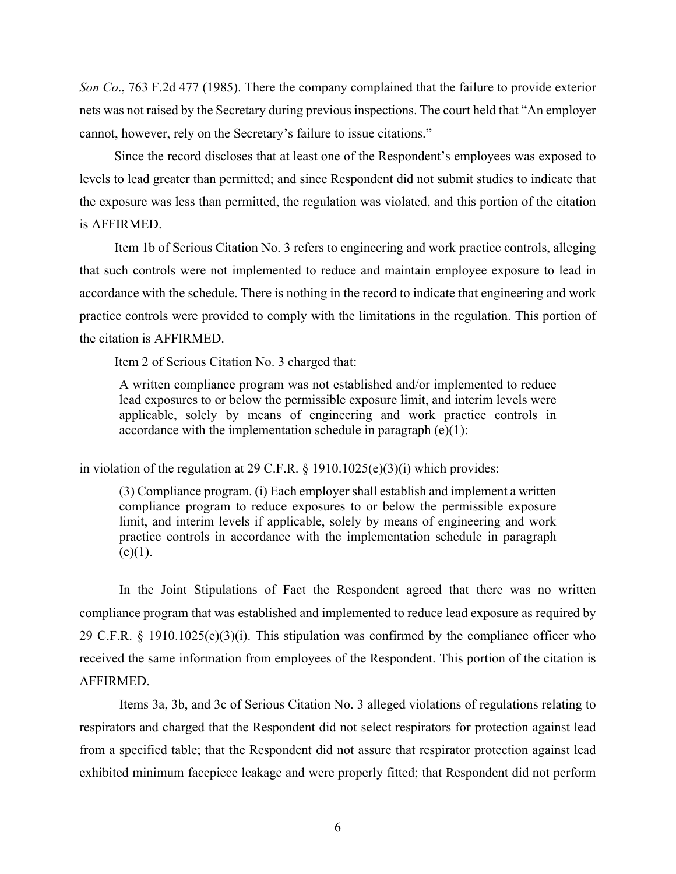*Son Co*., 763 F.2d 477 (1985). There the company complained that the failure to provide exterior nets was not raised by the Secretary during previous inspections. The court held that "An employer cannot, however, rely on the Secretary's failure to issue citations."

Since the record discloses that at least one of the Respondent's employees was exposed to levels to lead greater than permitted; and since Respondent did not submit studies to indicate that the exposure was less than permitted, the regulation was violated, and this portion of the citation is AFFIRMED.

Item 1b of Serious Citation No. 3 refers to engineering and work practice controls, alleging that such controls were not implemented to reduce and maintain employee exposure to lead in accordance with the schedule. There is nothing in the record to indicate that engineering and work practice controls were provided to comply with the limitations in the regulation. This portion of the citation is AFFIRMED.

Item 2 of Serious Citation No. 3 charged that:

A written compliance program was not established and/or implemented to reduce lead exposures to or below the permissible exposure limit, and interim levels were applicable, solely by means of engineering and work practice controls in accordance with the implementation schedule in paragraph  $(e)(1)$ :

in violation of the regulation at 29 C.F.R.  $\S$  1910.1025(e)(3)(i) which provides:

(3) Compliance program. (i) Each employer shall establish and implement a written compliance program to reduce exposures to or below the permissible exposure limit, and interim levels if applicable, solely by means of engineering and work practice controls in accordance with the implementation schedule in paragraph  $(e)(1)$ .

In the Joint Stipulations of Fact the Respondent agreed that there was no written compliance program that was established and implemented to reduce lead exposure as required by 29 C.F.R. § 1910.1025(e)(3)(i). This stipulation was confirmed by the compliance officer who received the same information from employees of the Respondent. This portion of the citation is AFFIRMED.

Items 3a, 3b, and 3c of Serious Citation No. 3 alleged violations of regulations relating to respirators and charged that the Respondent did not select respirators for protection against lead from a specified table; that the Respondent did not assure that respirator protection against lead exhibited minimum facepiece leakage and were properly fitted; that Respondent did not perform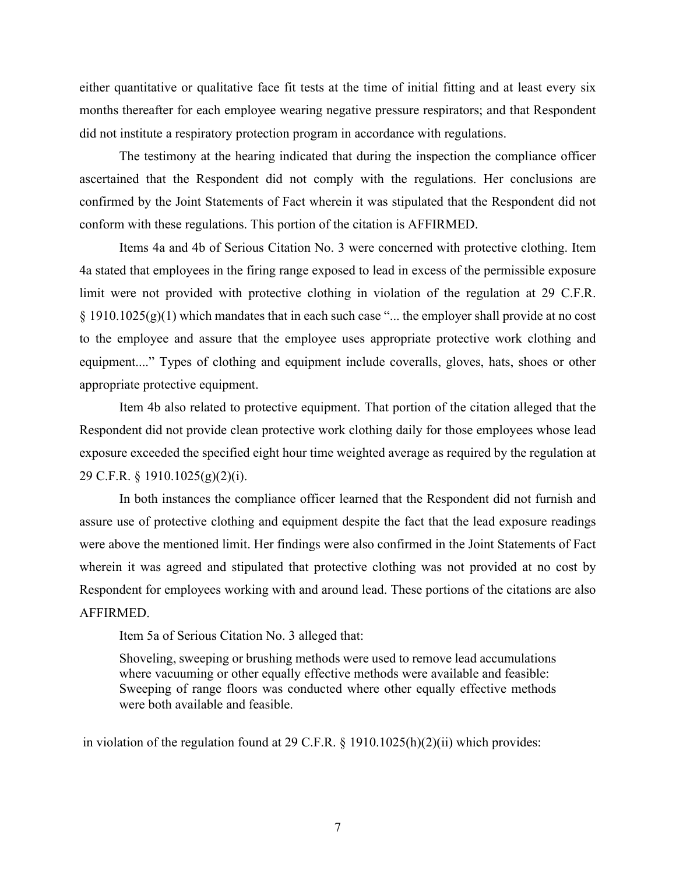either quantitative or qualitative face fit tests at the time of initial fitting and at least every six months thereafter for each employee wearing negative pressure respirators; and that Respondent did not institute a respiratory protection program in accordance with regulations.

The testimony at the hearing indicated that during the inspection the compliance officer ascertained that the Respondent did not comply with the regulations. Her conclusions are confirmed by the Joint Statements of Fact wherein it was stipulated that the Respondent did not conform with these regulations. This portion of the citation is AFFIRMED.

Items 4a and 4b of Serious Citation No. 3 were concerned with protective clothing. Item 4a stated that employees in the firing range exposed to lead in excess of the permissible exposure limit were not provided with protective clothing in violation of the regulation at 29 C.F.R.  $\S$  1910.1025(g)(1) which mandates that in each such case "... the employer shall provide at no cost to the employee and assure that the employee uses appropriate protective work clothing and equipment...." Types of clothing and equipment include coveralls, gloves, hats, shoes or other appropriate protective equipment.

Item 4b also related to protective equipment. That portion of the citation alleged that the Respondent did not provide clean protective work clothing daily for those employees whose lead exposure exceeded the specified eight hour time weighted average as required by the regulation at 29 C.F.R. § 1910.1025(g)(2)(i).

In both instances the compliance officer learned that the Respondent did not furnish and assure use of protective clothing and equipment despite the fact that the lead exposure readings were above the mentioned limit. Her findings were also confirmed in the Joint Statements of Fact wherein it was agreed and stipulated that protective clothing was not provided at no cost by Respondent for employees working with and around lead. These portions of the citations are also AFFIRMED.

Item 5a of Serious Citation No. 3 alleged that:

Shoveling, sweeping or brushing methods were used to remove lead accumulations where vacuuming or other equally effective methods were available and feasible: Sweeping of range floors was conducted where other equally effective methods were both available and feasible.

in violation of the regulation found at 29 C.F.R. § 1910.1025(h)(2)(ii) which provides: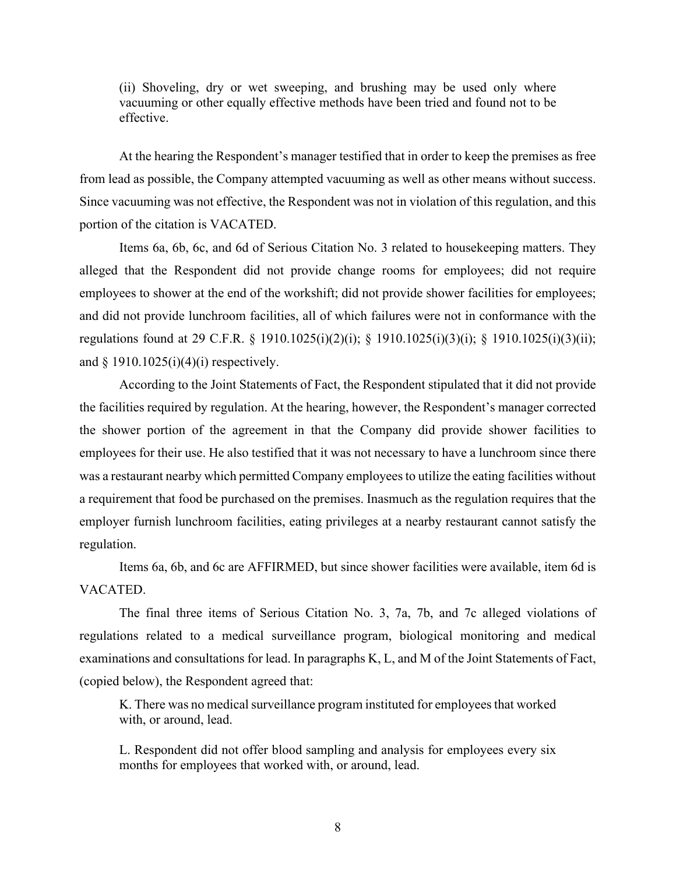(ii) Shoveling, dry or wet sweeping, and brushing may be used only where vacuuming or other equally effective methods have been tried and found not to be effective.

At the hearing the Respondent's manager testified that in order to keep the premises as free from lead as possible, the Company attempted vacuuming as well as other means without success. Since vacuuming was not effective, the Respondent was not in violation of this regulation, and this portion of the citation is VACATED.

Items 6a, 6b, 6c, and 6d of Serious Citation No. 3 related to housekeeping matters. They alleged that the Respondent did not provide change rooms for employees; did not require employees to shower at the end of the workshift; did not provide shower facilities for employees; and did not provide lunchroom facilities, all of which failures were not in conformance with the regulations found at 29 C.F.R. § 1910.1025(i)(2)(i); § 1910.1025(i)(3)(i); § 1910.1025(i)(3)(ii); and  $§$  1910.1025(i)(4)(i) respectively.

According to the Joint Statements of Fact, the Respondent stipulated that it did not provide the facilities required by regulation. At the hearing, however, the Respondent's manager corrected the shower portion of the agreement in that the Company did provide shower facilities to employees for their use. He also testified that it was not necessary to have a lunchroom since there was a restaurant nearby which permitted Company employees to utilize the eating facilities without a requirement that food be purchased on the premises. Inasmuch as the regulation requires that the employer furnish lunchroom facilities, eating privileges at a nearby restaurant cannot satisfy the regulation.

Items 6a, 6b, and 6c are AFFIRMED, but since shower facilities were available, item 6d is VACATED.

The final three items of Serious Citation No. 3, 7a, 7b, and 7c alleged violations of regulations related to a medical surveillance program, biological monitoring and medical examinations and consultations for lead. In paragraphs K, L, and M of the Joint Statements of Fact, (copied below), the Respondent agreed that:

K. There was no medical surveillance program instituted for employees that worked with, or around, lead.

L. Respondent did not offer blood sampling and analysis for employees every six months for employees that worked with, or around, lead.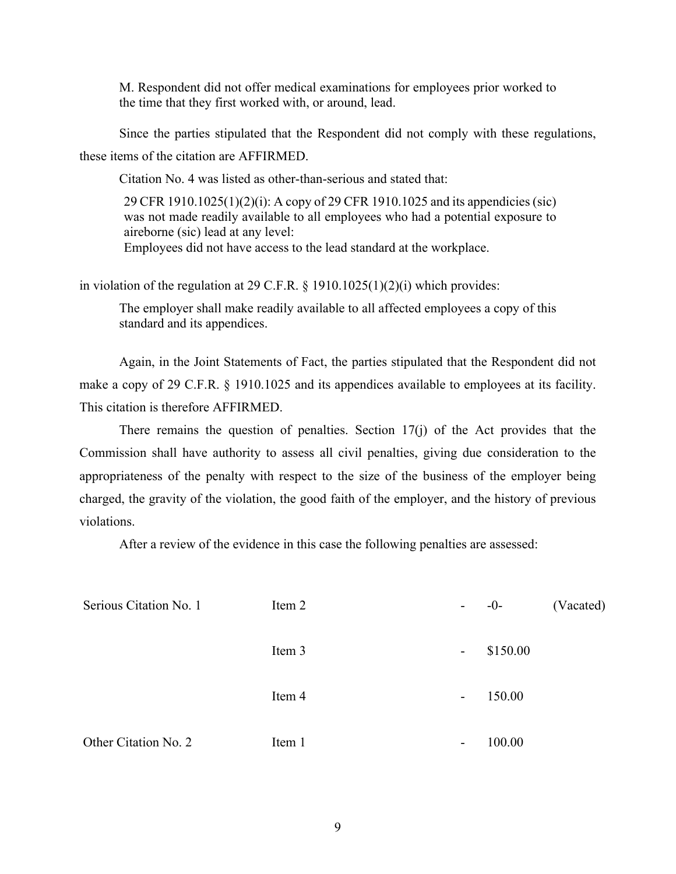M. Respondent did not offer medical examinations for employees prior worked to the time that they first worked with, or around, lead.

Since the parties stipulated that the Respondent did not comply with these regulations, these items of the citation are AFFIRMED.

Citation No. 4 was listed as other-than-serious and stated that:

29 CFR 1910.1025(1)(2)(i): A copy of 29 CFR 1910.1025 and its appendicies (sic) was not made readily available to all employees who had a potential exposure to aireborne (sic) lead at any level: Employees did not have access to the lead standard at the workplace.

in violation of the regulation at 29 C.F.R.  $\S$  1910.1025(1)(2)(i) which provides:

The employer shall make readily available to all affected employees a copy of this standard and its appendices.

Again, in the Joint Statements of Fact, the parties stipulated that the Respondent did not make a copy of 29 C.F.R. § 1910.1025 and its appendices available to employees at its facility. This citation is therefore AFFIRMED.

There remains the question of penalties. Section  $17(i)$  of the Act provides that the Commission shall have authority to assess all civil penalties, giving due consideration to the appropriateness of the penalty with respect to the size of the business of the employer being charged, the gravity of the violation, the good faith of the employer, and the history of previous violations.

After a review of the evidence in this case the following penalties are assessed:

| Serious Citation No. 1 | Item 2 | н.                       | $-0-$    | (Vacated) |
|------------------------|--------|--------------------------|----------|-----------|
|                        | Item 3 | -                        | \$150.00 |           |
|                        | Item 4 | $\overline{\phantom{a}}$ | 150.00   |           |
| Other Citation No. 2   | Item 1 | -                        | 100.00   |           |